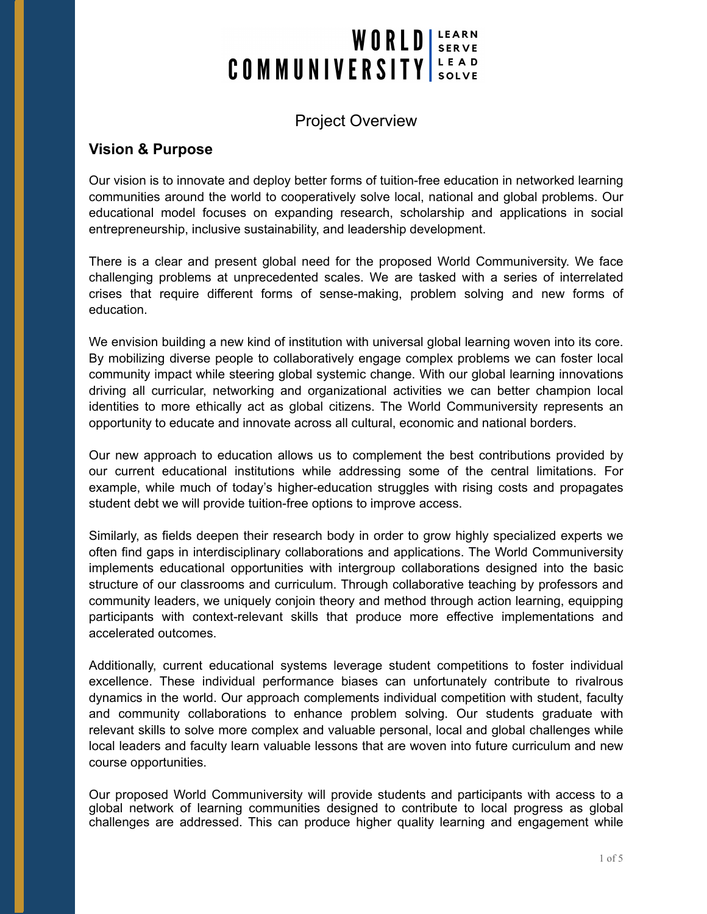# WORLD SERVE COMMUNIVERSITY

## Project Overview

## **Vision & Purpose**

Our vision is to innovate and deploy better forms of tuition-free education in networked learning communities around the world to cooperatively solve local, national and global problems. Our educational model focuses on expanding research, scholarship and applications in social entrepreneurship, inclusive sustainability, and leadership development.

There is a clear and present global need for the proposed World Communiversity. We face challenging problems at unprecedented scales. We are tasked with a series of interrelated crises that require different forms of sense-making, problem solving and new forms of education.

We envision building a new kind of institution with universal global learning woven into its core. By mobilizing diverse people to collaboratively engage complex problems we can foster local community impact while steering global systemic change. With our global learning innovations driving all curricular, networking and organizational activities we can better champion local identities to more ethically act as global citizens. The World Communiversity represents an opportunity to educate and innovate across all cultural, economic and national borders.

Our new approach to education allows us to complement the best contributions provided by our current educational institutions while addressing some of the central limitations. For example, while much of today's higher-education struggles with rising costs and propagates student debt we will provide tuition-free options to improve access.

Similarly, as fields deepen their research body in order to grow highly specialized experts we often find gaps in interdisciplinary collaborations and applications. The World Communiversity implements educational opportunities with intergroup collaborations designed into the basic structure of our classrooms and curriculum. Through collaborative teaching by professors and community leaders, we uniquely conjoin theory and method through action learning, equipping participants with context-relevant skills that produce more effective implementations and accelerated outcomes.

Additionally, current educational systems leverage student competitions to foster individual excellence. These individual performance biases can unfortunately contribute to rivalrous dynamics in the world. Our approach complements individual competition with student, faculty and community collaborations to enhance problem solving. Our students graduate with relevant skills to solve more complex and valuable personal, local and global challenges while local leaders and faculty learn valuable lessons that are woven into future curriculum and new course opportunities.

Our proposed World Communiversity will provide students and participants with access to a global network of learning communities designed to contribute to local progress as global challenges are addressed. This can produce higher quality learning and engagement while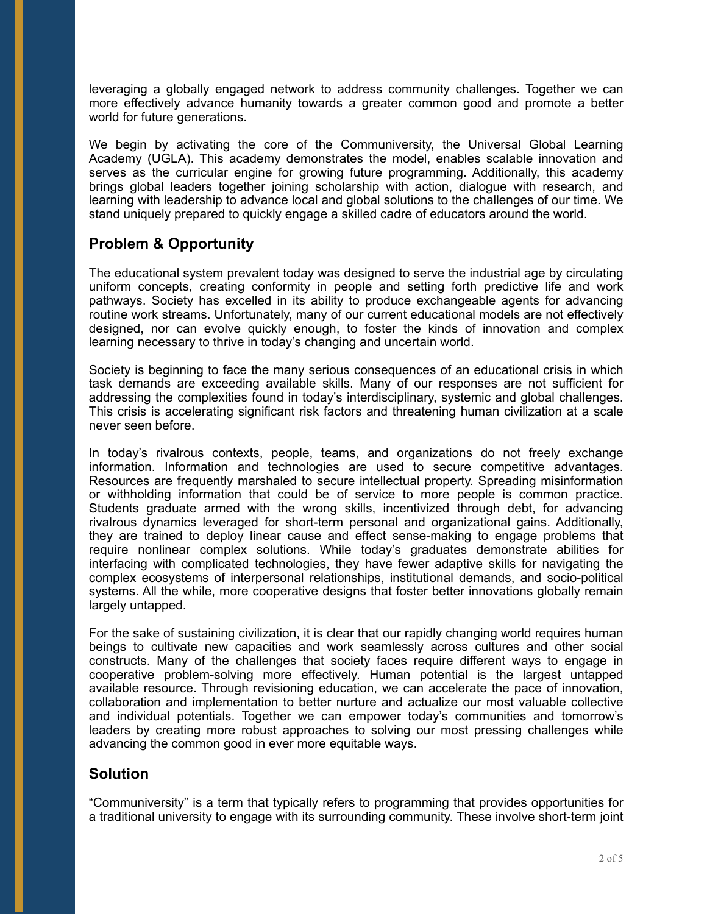leveraging a globally engaged network to address community challenges. Together we can more effectively advance humanity towards a greater common good and promote a better world for future generations.

We begin by activating the core of the Communiversity, the Universal Global Learning Academy (UGLA). This academy demonstrates the model, enables scalable innovation and serves as the curricular engine for growing future programming. Additionally, this academy brings global leaders together joining scholarship with action, dialogue with research, and learning with leadership to advance local and global solutions to the challenges of our time. We stand uniquely prepared to quickly engage a skilled cadre of educators around the world.

## **Problem & Opportunity**

The educational system prevalent today was designed to serve the industrial age by circulating uniform concepts, creating conformity in people and setting forth predictive life and work pathways. Society has excelled in its ability to produce exchangeable agents for advancing routine work streams. Unfortunately, many of our current educational models are not effectively designed, nor can evolve quickly enough, to foster the kinds of innovation and complex learning necessary to thrive in today's changing and uncertain world.

Society is beginning to face the many serious consequences of an educational crisis in which task demands are exceeding available skills. Many of our responses are not sufficient for addressing the complexities found in today's interdisciplinary, systemic and global challenges. This crisis is accelerating significant risk factors and threatening human civilization at a scale never seen before.

In today's rivalrous contexts, people, teams, and organizations do not freely exchange information. Information and technologies are used to secure competitive advantages. Resources are frequently marshaled to secure intellectual property. Spreading misinformation or withholding information that could be of service to more people is common practice. Students graduate armed with the wrong skills, incentivized through debt, for advancing rivalrous dynamics leveraged for short-term personal and organizational gains. Additionally, they are trained to deploy linear cause and effect sense-making to engage problems that require nonlinear complex solutions. While today's graduates demonstrate abilities for interfacing with complicated technologies, they have fewer adaptive skills for navigating the complex ecosystems of interpersonal relationships, institutional demands, and socio-political systems. All the while, more cooperative designs that foster better innovations globally remain largely untapped.

For the sake of sustaining civilization, it is clear that our rapidly changing world requires human beings to cultivate new capacities and work seamlessly across cultures and other social constructs. Many of the challenges that society faces require different ways to engage in cooperative problem-solving more effectively. Human potential is the largest untapped available resource. Through revisioning education, we can accelerate the pace of innovation, collaboration and implementation to better nurture and actualize our most valuable collective and individual potentials. Together we can empower today's communities and tomorrow's leaders by creating more robust approaches to solving our most pressing challenges while advancing the common good in ever more equitable ways.

## **Solution**

"Communiversity" is a term that typically refers to programming that provides opportunities for a traditional university to engage with its surrounding community. These involve short-term joint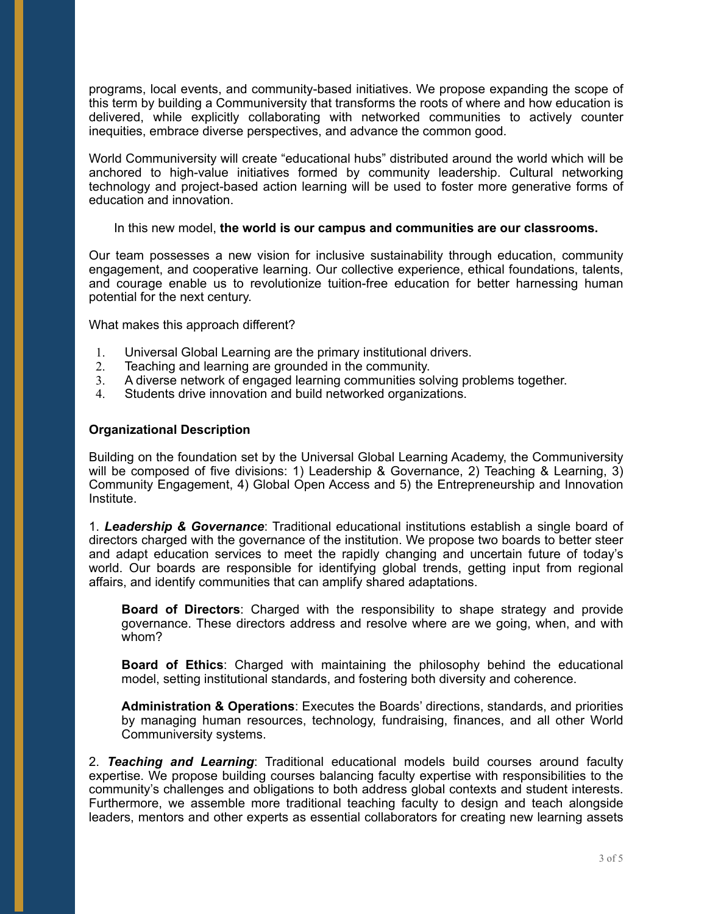programs, local events, and community-based initiatives. We propose expanding the scope of this term by building a Communiversity that transforms the roots of where and how education is delivered, while explicitly collaborating with networked communities to actively counter inequities, embrace diverse perspectives, and advance the common good.

World Communiversity will create "educational hubs" distributed around the world which will be anchored to high-value initiatives formed by community leadership. Cultural networking technology and project-based action learning will be used to foster more generative forms of education and innovation.

#### In this new model, **the world is our campus and communities are our classrooms.**

Our team possesses a new vision for inclusive sustainability through education, community engagement, and cooperative learning. Our collective experience, ethical foundations, talents, and courage enable us to revolutionize tuition-free education for better harnessing human potential for the next century.

What makes this approach different?

- 1. Universal Global Learning are the primary institutional drivers.
- 2. Teaching and learning are grounded in the community.
- 3. A diverse network of engaged learning communities solving problems together.
- 4. Students drive innovation and build networked organizations.

### **Organizational Description**

Building on the foundation set by the Universal Global Learning Academy, the Communiversity will be composed of five divisions: 1) Leadership & Governance, 2) Teaching & Learning, 3) Community Engagement, 4) Global Open Access and 5) the Entrepreneurship and Innovation Institute.

1. *Leadership & Governance*: Traditional educational institutions establish a single board of directors charged with the governance of the institution. We propose two boards to better steer and adapt education services to meet the rapidly changing and uncertain future of today's world. Our boards are responsible for identifying global trends, getting input from regional affairs, and identify communities that can amplify shared adaptations.

**Board of Directors**: Charged with the responsibility to shape strategy and provide governance. These directors address and resolve where are we going, when, and with whom?

**Board of Ethics**: Charged with maintaining the philosophy behind the educational model, setting institutional standards, and fostering both diversity and coherence.

**Administration & Operations**: Executes the Boards' directions, standards, and priorities by managing human resources, technology, fundraising, finances, and all other World Communiversity systems.

2. *Teaching and Learning*: Traditional educational models build courses around faculty expertise. We propose building courses balancing faculty expertise with responsibilities to the community's challenges and obligations to both address global contexts and student interests. Furthermore, we assemble more traditional teaching faculty to design and teach alongside leaders, mentors and other experts as essential collaborators for creating new learning assets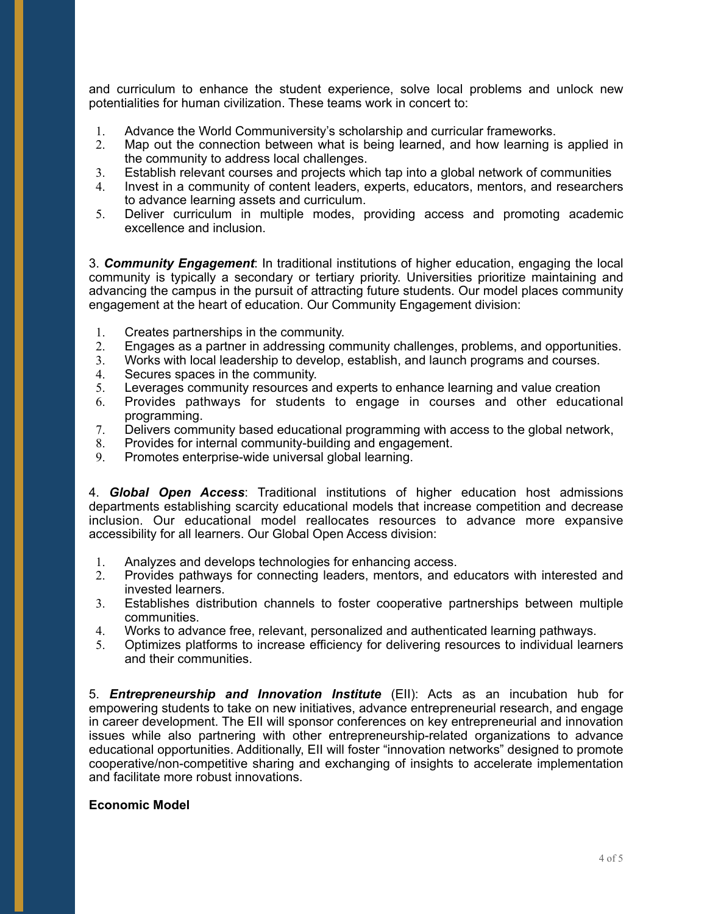and curriculum to enhance the student experience, solve local problems and unlock new potentialities for human civilization. These teams work in concert to:

- 1. Advance the World Communiversity's scholarship and curricular frameworks.
- 2. Map out the connection between what is being learned, and how learning is applied in the community to address local challenges.
- 3. Establish relevant courses and projects which tap into a global network of communities
- 4. Invest in a community of content leaders, experts, educators, mentors, and researchers to advance learning assets and curriculum.
- 5. Deliver curriculum in multiple modes, providing access and promoting academic excellence and inclusion.

3. *Community Engagement*: In traditional institutions of higher education, engaging the local community is typically a secondary or tertiary priority. Universities prioritize maintaining and advancing the campus in the pursuit of attracting future students. Our model places community engagement at the heart of education. Our Community Engagement division:

- 1. Creates partnerships in the community.<br>2. Engages as a partner in addressing con
- 2. Engages as a partner in addressing community challenges, problems, and opportunities.
- 3. Works with local leadership to develop, establish, and launch programs and courses.
- 4. Secures spaces in the community.
- 5. Leverages community resources and experts to enhance learning and value creation
- 6. Provides pathways for students to engage in courses and other educational programming.
- 7. Delivers community based educational programming with access to the global network,
- 8. Provides for internal community-building and engagement.
- 9. Promotes enterprise-wide universal global learning.

4. *Global Open Access*: Traditional institutions of higher education host admissions departments establishing scarcity educational models that increase competition and decrease inclusion. Our educational model reallocates resources to advance more expansive accessibility for all learners. Our Global Open Access division:

- 1. Analyzes and develops technologies for enhancing access.
- 2. Provides pathways for connecting leaders, mentors, and educators with interested and invested learners.
- 3. Establishes distribution channels to foster cooperative partnerships between multiple communities.
- 4. Works to advance free, relevant, personalized and authenticated learning pathways.
- 5. Optimizes platforms to increase efficiency for delivering resources to individual learners and their communities.

5. *Entrepreneurship and Innovation Institute* (EII): Acts as an incubation hub for empowering students to take on new initiatives, advance entrepreneurial research, and engage in career development. The EII will sponsor conferences on key entrepreneurial and innovation issues while also partnering with other entrepreneurship-related organizations to advance educational opportunities. Additionally, EII will foster "innovation networks" designed to promote cooperative/non-competitive sharing and exchanging of insights to accelerate implementation and facilitate more robust innovations.

#### **Economic Model**